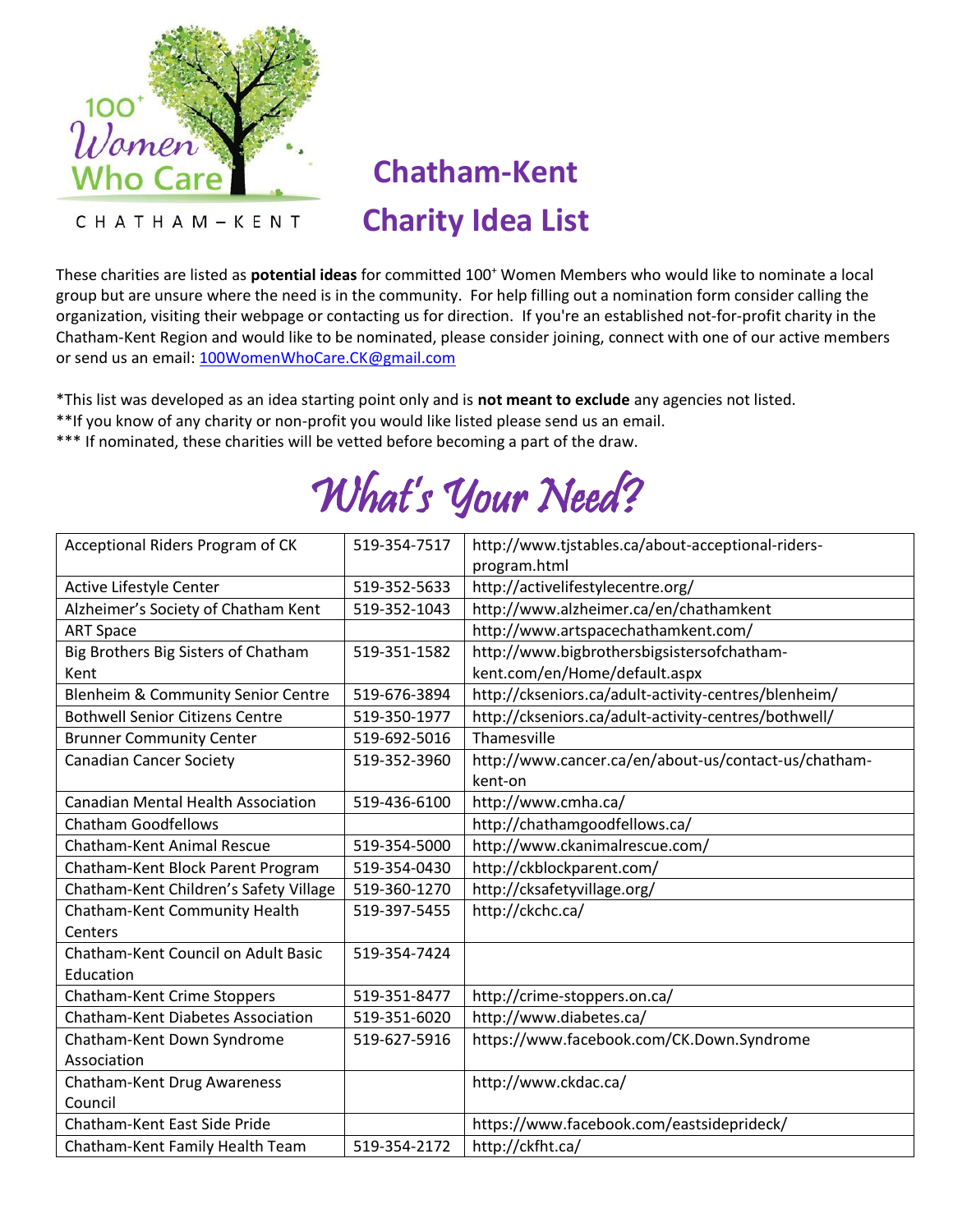

CHATHAM-KENT

## **Chatham-Kent Charity Idea List**

These charities are listed as **potential ideas** for committed 100<sup>+</sup> Women Members who would like to nominate a local group but are unsure where the need is in the community. For help filling out a nomination form consider calling the organization, visiting their webpage or contacting us for direction. If you're an established not-for-profit charity in the Chatham-Kent Region and would like to be nominated, please consider joining, connect with one of our active members or send us an email: [100WomenWhoCare.CK@gmail.com](mailto:100WomenWhoCare.CK@gmail.com)

\*This list was developed as an idea starting point only and is **not meant to exclude** any agencies not listed.

- \*\*If you know of any charity or non-profit you would like listed please send us an email.
- \*\*\* If nominated, these charities will be vetted before becoming a part of the draw.

## What's Your Need?

| Acceptional Riders Program of CK              | 519-354-7517 | http://www.tjstables.ca/about-acceptional-riders-    |
|-----------------------------------------------|--------------|------------------------------------------------------|
|                                               |              | program.html                                         |
| Active Lifestyle Center                       | 519-352-5633 | http://activelifestylecentre.org/                    |
| Alzheimer's Society of Chatham Kent           | 519-352-1043 | http://www.alzheimer.ca/en/chathamkent               |
| <b>ART Space</b>                              |              | http://www.artspacechathamkent.com/                  |
| Big Brothers Big Sisters of Chatham           | 519-351-1582 | http://www.bigbrothersbigsistersofchatham-           |
| Kent                                          |              | kent.com/en/Home/default.aspx                        |
| <b>Blenheim &amp; Community Senior Centre</b> | 519-676-3894 | http://ckseniors.ca/adult-activity-centres/blenheim/ |
| <b>Bothwell Senior Citizens Centre</b>        | 519-350-1977 | http://ckseniors.ca/adult-activity-centres/bothwell/ |
| <b>Brunner Community Center</b>               | 519-692-5016 | Thamesville                                          |
| <b>Canadian Cancer Society</b>                | 519-352-3960 | http://www.cancer.ca/en/about-us/contact-us/chatham- |
|                                               |              | kent-on                                              |
| <b>Canadian Mental Health Association</b>     | 519-436-6100 | http://www.cmha.ca/                                  |
| <b>Chatham Goodfellows</b>                    |              | http://chathamgoodfellows.ca/                        |
| <b>Chatham-Kent Animal Rescue</b>             | 519-354-5000 | http://www.ckanimalrescue.com/                       |
| Chatham-Kent Block Parent Program             | 519-354-0430 | http://ckblockparent.com/                            |
| Chatham-Kent Children's Safety Village        | 519-360-1270 | http://cksafetyvillage.org/                          |
| Chatham-Kent Community Health                 | 519-397-5455 | http://ckchc.ca/                                     |
| Centers                                       |              |                                                      |
| Chatham-Kent Council on Adult Basic           | 519-354-7424 |                                                      |
| Education                                     |              |                                                      |
| Chatham-Kent Crime Stoppers                   | 519-351-8477 | http://crime-stoppers.on.ca/                         |
| <b>Chatham-Kent Diabetes Association</b>      | 519-351-6020 | http://www.diabetes.ca/                              |
| Chatham-Kent Down Syndrome                    | 519-627-5916 | https://www.facebook.com/CK.Down.Syndrome            |
| Association                                   |              |                                                      |
| Chatham-Kent Drug Awareness                   |              | http://www.ckdac.ca/                                 |
| Council                                       |              |                                                      |
| Chatham-Kent East Side Pride                  |              | https://www.facebook.com/eastsideprideck/            |
| Chatham-Kent Family Health Team               | 519-354-2172 | http://ckfht.ca/                                     |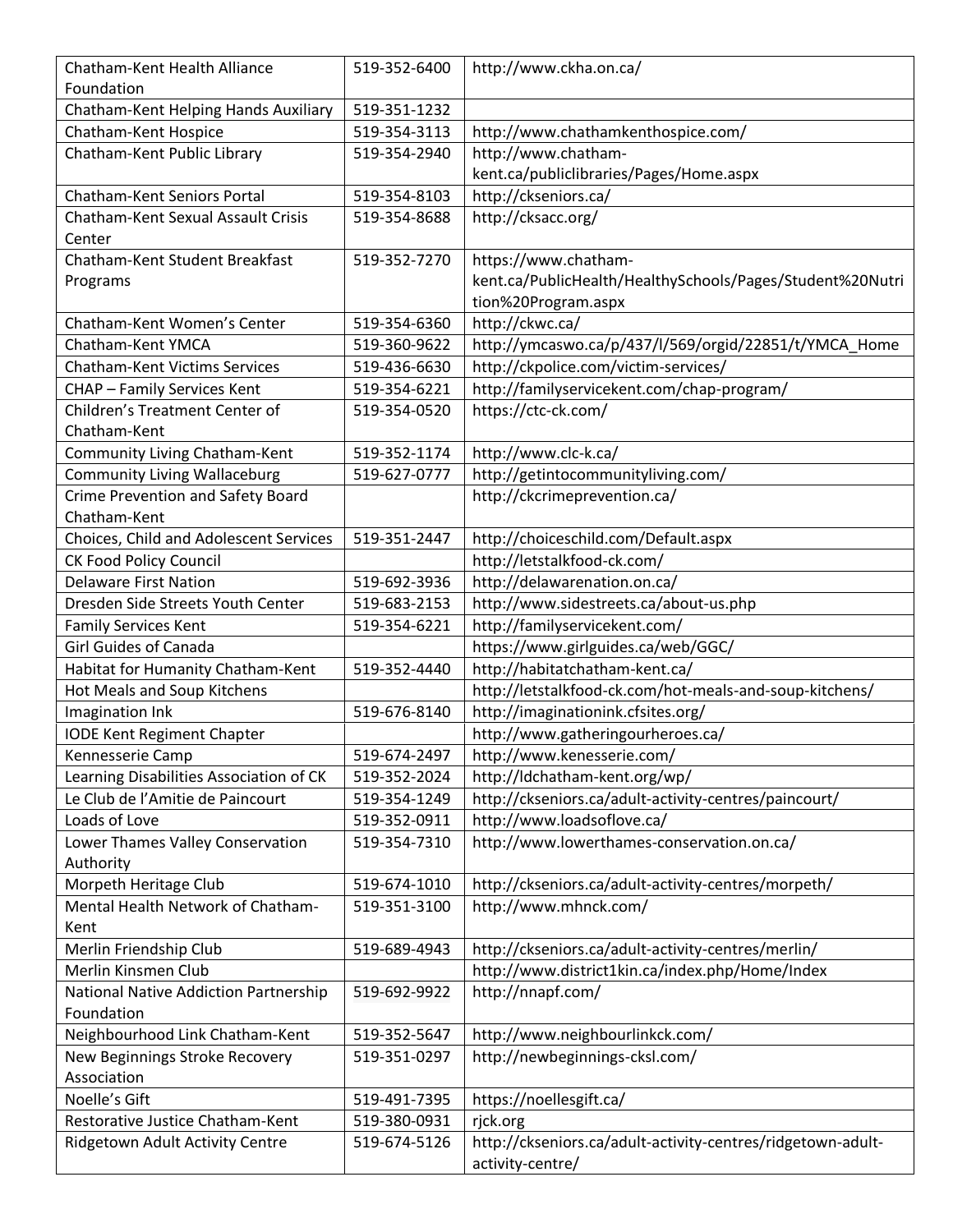| Chatham-Kent Health Alliance                               | 519-352-6400 | http://www.ckha.on.ca/                                                       |
|------------------------------------------------------------|--------------|------------------------------------------------------------------------------|
| Foundation                                                 |              |                                                                              |
| Chatham-Kent Helping Hands Auxiliary                       | 519-351-1232 |                                                                              |
| Chatham-Kent Hospice                                       | 519-354-3113 | http://www.chathamkenthospice.com/                                           |
| Chatham-Kent Public Library                                | 519-354-2940 | http://www.chatham-                                                          |
|                                                            |              | kent.ca/publiclibraries/Pages/Home.aspx                                      |
| Chatham-Kent Seniors Portal                                | 519-354-8103 | http://ckseniors.ca/                                                         |
| Chatham-Kent Sexual Assault Crisis                         | 519-354-8688 | http://cksacc.org/                                                           |
| Center                                                     |              |                                                                              |
| Chatham-Kent Student Breakfast                             | 519-352-7270 | https://www.chatham-                                                         |
| Programs                                                   |              | kent.ca/PublicHealth/HealthySchools/Pages/Student%20Nutri                    |
|                                                            |              | tion%20Program.aspx                                                          |
| Chatham-Kent Women's Center                                | 519-354-6360 | http://ckwc.ca/                                                              |
| Chatham-Kent YMCA                                          | 519-360-9622 | http://ymcaswo.ca/p/437/l/569/orgid/22851/t/YMCA_Home                        |
| <b>Chatham-Kent Victims Services</b>                       | 519-436-6630 | http://ckpolice.com/victim-services/                                         |
| <b>CHAP - Family Services Kent</b>                         | 519-354-6221 | http://familyservicekent.com/chap-program/                                   |
| <b>Children's Treatment Center of</b>                      | 519-354-0520 | https://ctc-ck.com/                                                          |
| Chatham-Kent                                               |              |                                                                              |
| Community Living Chatham-Kent                              | 519-352-1174 | http://www.clc-k.ca/                                                         |
| <b>Community Living Wallaceburg</b>                        | 519-627-0777 | http://getintocommunityliving.com/                                           |
| Crime Prevention and Safety Board                          |              | http://ckcrimeprevention.ca/                                                 |
| Chatham-Kent                                               |              |                                                                              |
| Choices, Child and Adolescent Services                     | 519-351-2447 | http://choiceschild.com/Default.aspx                                         |
| <b>CK Food Policy Council</b>                              |              | http://letstalkfood-ck.com/                                                  |
| <b>Delaware First Nation</b>                               | 519-692-3936 | http://delawarenation.on.ca/                                                 |
| Dresden Side Streets Youth Center                          | 519-683-2153 | http://www.sidestreets.ca/about-us.php                                       |
| <b>Family Services Kent</b>                                | 519-354-6221 | http://familyservicekent.com/                                                |
| <b>Girl Guides of Canada</b>                               |              | https://www.girlguides.ca/web/GGC/                                           |
| Habitat for Humanity Chatham-Kent                          | 519-352-4440 | http://habitatchatham-kent.ca/                                               |
| Hot Meals and Soup Kitchens                                |              | http://letstalkfood-ck.com/hot-meals-and-soup-kitchens/                      |
| Imagination Ink                                            | 519-676-8140 | http://imaginationink.cfsites.org/                                           |
| <b>IODE Kent Regiment Chapter</b>                          |              | http://www.gatheringourheroes.ca/                                            |
| Kennesserie Camp                                           | 519-674-2497 | http://www.kenesserie.com/                                                   |
| Learning Disabilities Association of CK                    | 519-352-2024 | http://ldchatham-kent.org/wp/                                                |
| Le Club de l'Amitie de Paincourt                           | 519-354-1249 | http://ckseniors.ca/adult-activity-centres/paincourt/                        |
| Loads of Love                                              | 519-352-0911 | http://www.loadsoflove.ca/                                                   |
| Lower Thames Valley Conservation                           | 519-354-7310 | http://www.lowerthames-conservation.on.ca/                                   |
| Authority                                                  |              |                                                                              |
| Morpeth Heritage Club<br>Mental Health Network of Chatham- | 519-674-1010 | http://ckseniors.ca/adult-activity-centres/morpeth/<br>http://www.mhnck.com/ |
| Kent                                                       | 519-351-3100 |                                                                              |
| Merlin Friendship Club                                     | 519-689-4943 | http://ckseniors.ca/adult-activity-centres/merlin/                           |
| Merlin Kinsmen Club                                        |              | http://www.district1kin.ca/index.php/Home/Index                              |
| National Native Addiction Partnership                      | 519-692-9922 | http://nnapf.com/                                                            |
| Foundation                                                 |              |                                                                              |
| Neighbourhood Link Chatham-Kent                            | 519-352-5647 | http://www.neighbourlinkck.com/                                              |
| New Beginnings Stroke Recovery                             | 519-351-0297 | http://newbeginnings-cksl.com/                                               |
| Association                                                |              |                                                                              |
| Noelle's Gift                                              | 519-491-7395 | https://noellesgift.ca/                                                      |
| Restorative Justice Chatham-Kent                           | 519-380-0931 | rjck.org                                                                     |
| Ridgetown Adult Activity Centre                            | 519-674-5126 | http://ckseniors.ca/adult-activity-centres/ridgetown-adult-                  |
|                                                            |              | activity-centre/                                                             |